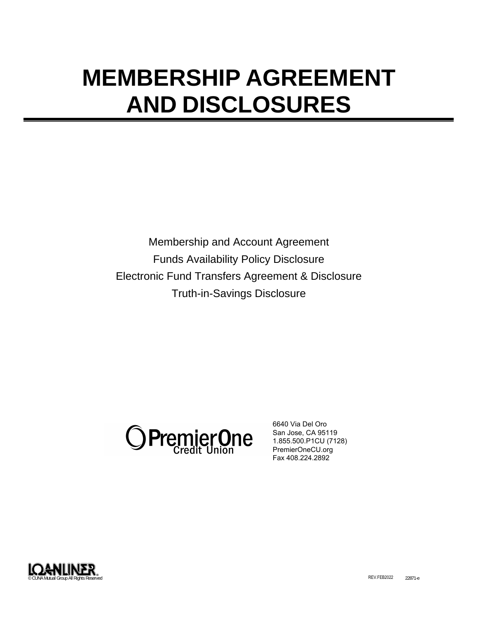# **MEMBERSHIP AGREEMENT AND DISCLOSURES**

Membership and Account Agreement Funds Availability Policy Disclosure Electronic Fund Transfers Agreement & Disclosure Truth-in-Savings Disclosure



6640 Via Del Oro San Jose, CA 95119 1.855.500.P1CU (7128) PremierOneCU.org Fax 408.224.2892

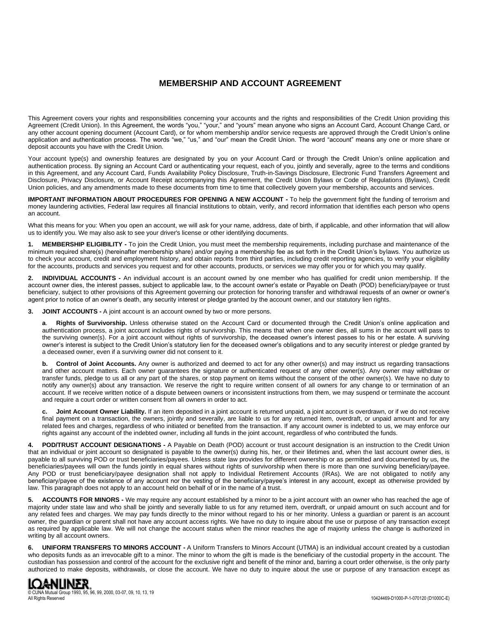# **MEMBERSHIP AND ACCOUNT AGREEMENT**

This Agreement covers your rights and responsibilities concerning your accounts and the rights and responsibilities of the Credit Union providing this Agreement (Credit Union). In this Agreement, the words "you," "your," and "yours" mean anyone who signs an Account Card, Account Change Card, or any other account opening document (Account Card), or for whom membership and/or service requests are approved through the Credit Union's online application and authentication process. The words "we," "us," and "our" mean the Credit Union. The word "account" means any one or more share or deposit accounts you have with the Credit Union.

Your account type(s) and ownership features are designated by you on your Account Card or through the Credit Union's online application and authentication process. By signing an Account Card or authenticating your request, each of you, jointly and severally, agree to the terms and conditions in this Agreement, and any Account Card, Funds Availability Policy Disclosure, Truth-in-Savings Disclosure, Electronic Fund Transfers Agreement and Disclosure, Privacy Disclosure, or Account Receipt accompanying this Agreement, the Credit Union Bylaws or Code of Regulations (Bylaws), Credit Union policies, and any amendments made to these documents from time to time that collectively govern your membership, accounts and services.

**IMPORTANT INFORMATION ABOUT PROCEDURES FOR OPENING A NEW ACCOUNT -** To help the government fight the funding of terrorism and money laundering activities, Federal law requires all financial institutions to obtain, verify, and record information that identifies each person who opens an account.

What this means for you: When you open an account, we will ask for your name, address, date of birth, if applicable, and other information that will allow us to identify you. We may also ask to see your driver's license or other identifying documents.

**1. MEMBERSHIP ELIGIBILITY -** To join the Credit Union, you must meet the membership requirements, including purchase and maintenance of the minimum required share(s) (hereinafter membership share) and/or paying a membership fee as set forth in the Credit Union's bylaws. You authorize us to check your account, credit and employment history, and obtain reports from third parties, including credit reporting agencies, to verify your eligibility for the accounts, products and services you request and for other accounts, products, or services we may offer you or for which you may qualify.

**2. INDIVIDUAL ACCOUNTS -** An individual account is an account owned by one member who has qualified for credit union membership. If the account owner dies, the interest passes, subject to applicable law, to the account owner's estate or Payable on Death (POD) beneficiary/payee or trust beneficiary, subject to other provisions of this Agreement governing our protection for honoring transfer and withdrawal requests of an owner or owner's agent prior to notice of an owner's death, any security interest or pledge granted by the account owner, and our statutory lien rights.

**3. JOINT ACCOUNTS -** A joint account is an account owned by two or more persons.

**a**. **Rights of Survivorship.** Unless otherwise stated on the Account Card or documented through the Credit Union's online application and authentication process, a joint account includes rights of survivorship. This means that when one owner dies, all sums in the account will pass to the surviving owner(s). For a joint account without rights of survivorship, the deceased owner's interest passes to his or her estate. A surviving owner's interest is subject to the Credit Union's statutory lien for the deceased owner's obligations and to any security interest or pledge granted by a deceased owner, even if a surviving owner did not consent to it.

**b.** Control of Joint Accounts. Any owner is authorized and deemed to act for any other owner(s) and may instruct us regarding transactions and other account matters. Each owner guarantees the signature or authenticated request of any other owner(s). Any owner may withdraw or transfer funds, pledge to us all or any part of the shares, or stop payment on items without the consent of the other owner(s). We have no duty to notify any owner(s) about any transaction. We reserve the right to require written consent of all owners for any change to or termination of an account. If we receive written notice of a dispute between owners or inconsistent instructions from them, we may suspend or terminate the account and require a court order or written consent from all owners in order to act.

**c. Joint Account Owner Liability.** If an item deposited in a joint account is returned unpaid, a joint account is overdrawn, or if we do not receive final payment on a transaction, the owners, jointly and severally, are liable to us for any returned item, overdraft, or unpaid amount and for any related fees and charges, regardless of who initiated or benefited from the transaction. If any account owner is indebted to us, we may enforce our rights against any account of the indebted owner, including all funds in the joint account, regardless of who contributed the funds.

**4. POD/TRUST ACCOUNT DESIGNATIONS -** A Payable on Death (POD) account or trust account designation is an instruction to the Credit Union that an individual or joint account so designated is payable to the owner(s) during his, her, or their lifetimes and, when the last account owner dies, is payable to all surviving POD or trust beneficiaries/payees. Unless state law provides for different ownership or as permitted and documented by us, the beneficiaries/payees will own the funds jointly in equal shares without rights of survivorship when there is more than one surviving beneficiary/payee. Any POD or trust beneficiary/payee designation shall not apply to Individual Retirement Accounts (IRAs). We are not obligated to notify any beneficiary/payee of the existence of any account nor the vesting of the beneficiary/payee's interest in any account, except as otherwise provided by law. This paragraph does not apply to an account held on behalf of or in the name of a trust.

**5. ACCOUNTS FOR MINORS -** We may require any account established by a minor to be a joint account with an owner who has reached the age of majority under state law and who shall be jointly and severally liable to us for any returned item, overdraft, or unpaid amount on such account and for any related fees and charges. We may pay funds directly to the minor without regard to his or her minority. Unless a guardian or parent is an account owner, the guardian or parent shall not have any account access rights. We have no duty to inquire about the use or purpose of any transaction except as required by applicable law. We will not change the account status when the minor reaches the age of majority unless the change is authorized in writing by all account owners.

**6. UNIFORM TRANSFERS TO MINORS ACCOUNT -** A Uniform Transfers to Minors Account (UTMA) is an individual account created by a custodian who deposits funds as an irrevocable gift to a minor. The minor to whom the gift is made is the beneficiary of the custodial property in the account. The custodian has possession and control of the account for the exclusive right and benefit of the minor and, barring a court order otherwise, is the only party authorized to make deposits, withdrawals, or close the account. We have no duty to inquire about the use or purpose of any transaction except as

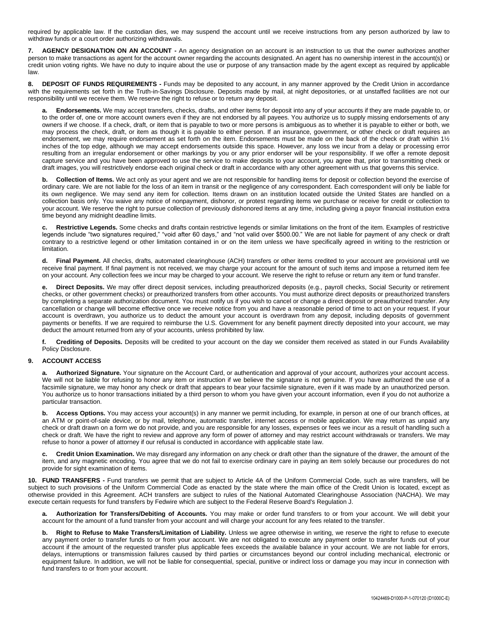required by applicable law. If the custodian dies, we may suspend the account until we receive instructions from any person authorized by law to withdraw funds or a court order authorizing withdrawals.

**7. AGENCY DESIGNATION ON AN ACCOUNT -** An agency designation on an account is an instruction to us that the owner authorizes another person to make transactions as agent for the account owner regarding the accounts designated. An agent has no ownership interest in the account(s) or credit union voting rights. We have no duty to inquire about the use or purpose of any transaction made by the agent except as required by applicable law.

**DEPOSIT OF FUNDS REQUIREMENTS** - Funds may be deposited to any account, in any manner approved by the Credit Union in accordance with the requirements set forth in the Truth-in-Savings Disclosure. Deposits made by mail, at night depositories, or at unstaffed facilities are not our responsibility until we receive them. We reserve the right to refuse or to return any deposit.

**a. Endorsements.** We may accept transfers, checks, drafts, and other items for deposit into any of your accounts if they are made payable to, or to the order of, one or more account owners even if they are not endorsed by all payees. You authorize us to supply missing endorsements of any owners if we choose. If a check, draft, or item that is payable to two or more persons is ambiguous as to whether it is payable to either or both, we may process the check, draft, or item as though it is payable to either person. If an insurance, government, or other check or draft requires an endorsement, we may require endorsement as set forth on the item. Endorsements must be made on the back of the check or draft within 1½ inches of the top edge, although we may accept endorsements outside this space. However, any loss we incur from a delay or processing error resulting from an irregular endorsement or other markings by you or any prior endorser will be your responsibility. If we offer a remote deposit capture service and you have been approved to use the service to make deposits to your account, you agree that, prior to transmitting check or draft images, you will restrictively endorse each original check or draft in accordance with any other agreement with us that governs this service.

**b. Collection of Items.** We act only as your agent and we are not responsible for handling items for deposit or collection beyond the exercise of ordinary care. We are not liable for the loss of an item in transit or the negligence of any correspondent. Each correspondent will only be liable for its own negligence. We may send any item for collection. Items drawn on an institution located outside the United States are handled on a collection basis only. You waive any notice of nonpayment, dishonor, or protest regarding items we purchase or receive for credit or collection to your account. We reserve the right to pursue collection of previously dishonored items at any time, including giving a payor financial institution extra time beyond any midnight deadline limits.

**c. Restrictive Legends.** Some checks and drafts contain restrictive legends or similar limitations on the front of the item. Examples of restrictive legends include "two signatures required," "void after 60 days," and "not valid over \$500.00." We are not liable for payment of any check or draft contrary to a restrictive legend or other limitation contained in or on the item unless we have specifically agreed in writing to the restriction or limitation.

**d. Final Payment.** All checks, drafts, automated clearinghouse (ACH) transfers or other items credited to your account are provisional until we receive final payment. If final payment is not received, we may charge your account for the amount of such items and impose a returned item fee on your account. Any collection fees we incur may be charged to your account. We reserve the right to refuse or return any item or fund transfer.

**e. Direct Deposits.** We may offer direct deposit services, including preauthorized deposits (e.g., payroll checks, Social Security or retirement checks, or other government checks) or preauthorized transfers from other accounts. You must authorize direct deposits or preauthorized transfers by completing a separate authorization document. You must notify us if you wish to cancel or change a direct deposit or preauthorized transfer. Any cancellation or change will become effective once we receive notice from you and have a reasonable period of time to act on your request. If your account is overdrawn, you authorize us to deduct the amount your account is overdrawn from any deposit, including deposits of government payments or benefits. If we are required to reimburse the U.S. Government for any benefit payment directly deposited into your account, we may deduct the amount returned from any of your accounts, unless prohibited by law.

**f. Crediting of Deposits.** Deposits will be credited to your account on the day we consider them received as stated in our Funds Availability Policy Disclosure.

## **9. ACCOUNT ACCESS**

Authorized Signature. Your signature on the Account Card, or authentication and approval of your account, authorizes your account access. We will not be liable for refusing to honor any item or instruction if we believe the signature is not genuine. If you have authorized the use of a facsimile signature, we may honor any check or draft that appears to bear your facsimile signature, even if it was made by an unauthorized person. You authorize us to honor transactions initiated by a third person to whom you have given your account information, even if you do not authorize a particular transaction.

**b. Access Options.** You may access your account(s) in any manner we permit including, for example, in person at one of our branch offices, at an ATM or point-of-sale device, or by mail, telephone, automatic transfer, internet access or mobile application. We may return as unpaid any check or draft drawn on a form we do not provide, and you are responsible for any losses, expenses or fees we incur as a result of handling such a check or draft. We have the right to review and approve any form of power of attorney and may restrict account withdrawals or transfers. We may refuse to honor a power of attorney if our refusal is conducted in accordance with applicable state law.

**c. Credit Union Examination.** We may disregard any information on any check or draft other than the signature of the drawer, the amount of the item, and any magnetic encoding. You agree that we do not fail to exercise ordinary care in paying an item solely because our procedures do not provide for sight examination of items.

**10. FUND TRANSFERS -** Fund transfers we permit that are subject to Article 4A of the Uniform Commercial Code, such as wire transfers, will be subject to such provisions of the Uniform Commercial Code as enacted by the state where the main office of the Credit Union is located, except as otherwise provided in this Agreement. ACH transfers are subject to rules of the National Automated Clearinghouse Association (NACHA). We may execute certain requests for fund transfers by Fedwire which are subject to the Federal Reserve Board's Regulation J.

**a. Authorization for Transfers/Debiting of Accounts.** You may make or order fund transfers to or from your account. We will debit your account for the amount of a fund transfer from your account and will charge your account for any fees related to the transfer.

**b. Right to Refuse to Make Transfers/Limitation of Liability.** Unless we agree otherwise in writing, we reserve the right to refuse to execute any payment order to transfer funds to or from your account. We are not obligated to execute any payment order to transfer funds out of your account if the amount of the requested transfer plus applicable fees exceeds the available balance in your account. We are not liable for errors, delays, interruptions or transmission failures caused by third parties or circumstances beyond our control including mechanical, electronic or equipment failure. In addition, we will not be liable for consequential, special, punitive or indirect loss or damage you may incur in connection with fund transfers to or from your account.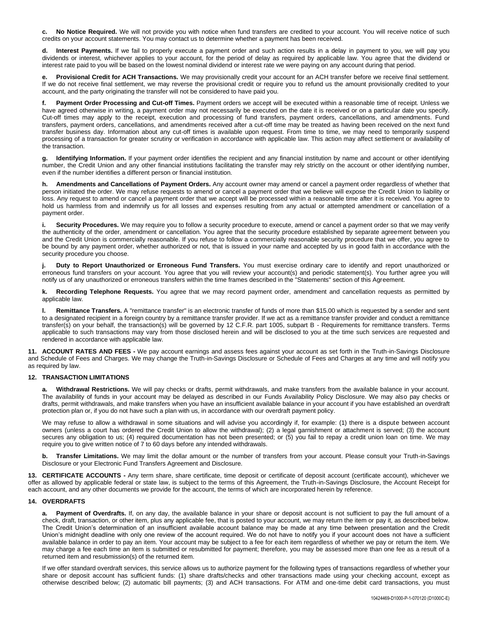**c. No Notice Required.** We will not provide you with notice when fund transfers are credited to your account. You will receive notice of such credits on your account statements. You may contact us to determine whether a payment has been received.

**d. Interest Payments.** If we fail to properly execute a payment order and such action results in a delay in payment to you, we will pay you dividends or interest, whichever applies to your account, for the period of delay as required by applicable law. You agree that the dividend or interest rate paid to you will be based on the lowest nominal dividend or interest rate we were paying on any account during that period.

**e. Provisional Credit for ACH Transactions.** We may provisionally credit your account for an ACH transfer before we receive final settlement. If we do not receive final settlement, we may reverse the provisional credit or require you to refund us the amount provisionally credited to your account, and the party originating the transfer will not be considered to have paid you.

**f. Payment Order Processing and Cut-off Times.** Payment orders we accept will be executed within a reasonable time of receipt. Unless we have agreed otherwise in writing, a payment order may not necessarily be executed on the date it is received or on a particular date you specify. Cut-off times may apply to the receipt, execution and processing of fund transfers, payment orders, cancellations, and amendments. Fund transfers, payment orders, cancellations, and amendments received after a cut-off time may be treated as having been received on the next fund transfer business day. Information about any cut-off times is available upon request. From time to time, we may need to temporarily suspend processing of a transaction for greater scrutiny or verification in accordance with applicable law. This action may affect settlement or availability of the transaction.

**g. Identifying Information.** If your payment order identifies the recipient and any financial institution by name and account or other identifying number, the Credit Union and any other financial institutions facilitating the transfer may rely strictly on the account or other identifying number, even if the number identifies a different person or financial institution.

**h. Amendments and Cancellations of Payment Orders.** Any account owner may amend or cancel a payment order regardless of whether that person initiated the order. We may refuse requests to amend or cancel a payment order that we believe will expose the Credit Union to liability or loss. Any request to amend or cancel a payment order that we accept will be processed within a reasonable time after it is received. You agree to hold us harmless from and indemnify us for all losses and expenses resulting from any actual or attempted amendment or cancellation of a payment order.

**i. Security Procedures.** We may require you to follow a security procedure to execute, amend or cancel a payment order so that we may verify the authenticity of the order, amendment or cancellation. You agree that the security procedure established by separate agreement between you and the Credit Union is commercially reasonable. If you refuse to follow a commercially reasonable security procedure that we offer, you agree to be bound by any payment order, whether authorized or not, that is issued in your name and accepted by us in good faith in accordance with the security procedure you choose.

**j. Duty to Report Unauthorized or Erroneous Fund Transfers.** You must exercise ordinary care to identify and report unauthorized or erroneous fund transfers on your account. You agree that you will review your account(s) and periodic statement(s). You further agree you will notify us of any unauthorized or erroneous transfers within the time frames described in the "Statements" section of this Agreement.

**k. Recording Telephone Requests.** You agree that we may record payment order, amendment and cancellation requests as permitted by applicable law.

**l. Remittance Transfers.** A "remittance transfer" is an electronic transfer of funds of more than \$15.00 which is requested by a sender and sent to a designated recipient in a foreign country by a remittance transfer provider. If we act as a remittance transfer provider and conduct a remittance transfer(s) on your behalf, the transaction(s) will be governed by 12 C.F.R. part 1005, subpart B - Requirements for remittance transfers. Terms applicable to such transactions may vary from those disclosed herein and will be disclosed to you at the time such services are requested and rendered in accordance with applicable law.

**11. ACCOUNT RATES AND FEES -** We pay account earnings and assess fees against your account as set forth in the Truth-in-Savings Disclosure and Schedule of Fees and Charges. We may change the Truth-in-Savings Disclosure or Schedule of Fees and Charges at any time and will notify you as required by law.

### **12. TRANSACTION LIMITATIONS**

**a. Withdrawal Restrictions.** We will pay checks or drafts, permit withdrawals, and make transfers from the available balance in your account. The availability of funds in your account may be delayed as described in our Funds Availability Policy Disclosure. We may also pay checks or drafts, permit withdrawals, and make transfers when you have an insufficient available balance in your account if you have established an overdraft protection plan or, if you do not have such a plan with us, in accordance with our overdraft payment policy.

We may refuse to allow a withdrawal in some situations and will advise you accordingly if, for example: (1) there is a dispute between account owners (unless a court has ordered the Credit Union to allow the withdrawal); (2) a legal garnishment or attachment is served; (3) the account secures any obligation to us; (4) required documentation has not been presented; or (5) you fail to repay a credit union loan on time. We may require you to give written notice of 7 to 60 days before any intended withdrawals.

**b. Transfer Limitations.** We may limit the dollar amount or the number of transfers from your account. Please consult your Truth-in-Savings Disclosure or your Electronic Fund Transfers Agreement and Disclosure.

**13. CERTIFICATE ACCOUNTS -** Any term share, share certificate, time deposit or certificate of deposit account (certificate account), whichever we offer as allowed by applicable federal or state law, is subject to the terms of this Agreement, the Truth-in-Savings Disclosure, the Account Receipt for each account, and any other documents we provide for the account, the terms of which are incorporated herein by reference.

### **14. OVERDRAFTS**

**a. Payment of Overdrafts.** If, on any day, the available balance in your share or deposit account is not sufficient to pay the full amount of a check, draft, transaction, or other item, plus any applicable fee, that is posted to your account, we may return the item or pay it, as described below. The Credit Union's determination of an insufficient available account balance may be made at any time between presentation and the Credit Union's midnight deadline with only one review of the account required. We do not have to notify you if your account does not have a sufficient available balance in order to pay an item. Your account may be subject to a fee for each item regardless of whether we pay or return the item. We may charge a fee each time an item is submitted or resubmitted for payment; therefore, you may be assessed more than one fee as a result of a returned item and resubmission(s) of the returned item.

If we offer standard overdraft services, this service allows us to authorize payment for the following types of transactions regardless of whether your share or deposit account has sufficient funds: (1) share drafts/checks and other transactions made using your checking account, except as otherwise described below; (2) automatic bill payments; (3) and ACH transactions. For ATM and one-time debit card transactions, you must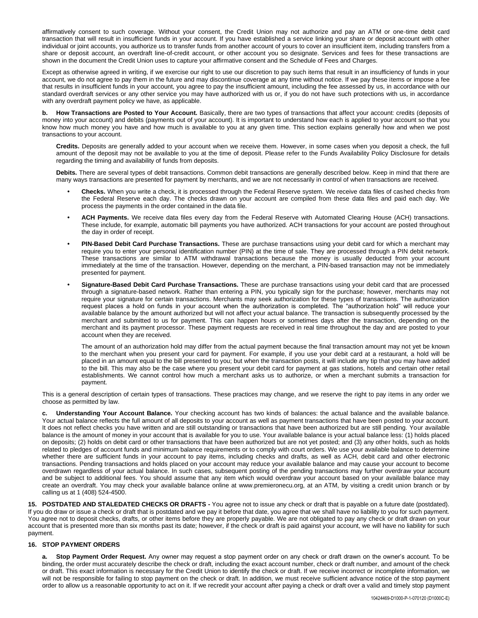affirmatively consent to such coverage. Without your consent, the Credit Union may not authorize and pay an ATM or one-time debit card transaction that will result in insufficient funds in your account. If you have established a service linking your share or deposit account with other individual or joint accounts, you authorize us to transfer funds from another account of yours to cover an insufficient item, including transfers from a share or deposit account, an overdraft line-of-credit account, or other account you so designate. Services and fees for these transactions are shown in the document the Credit Union uses to capture your affirmative consent and the Schedule of Fees and Charges.

Except as otherwise agreed in writing, if we exercise our right to use our discretion to pay such items that result in an insufficiency of funds in your account, we do not agree to pay them in the future and may discontinue coverage at any time without notice. If we pay these items or impose a fee that results in insufficient funds in your account, you agree to pay the insufficient amount, including the fee assessed by us, in accordance with our standard overdraft services or any other service you may have authorized with us or, if you do not have such protections with us, in accordance with any overdraft payment policy we have, as applicable.

How Transactions are Posted to Your Account. Basically, there are two types of transactions that affect your account: credits (deposits of money into your account) and debits (payments out of your account). It is important to understand how each is applied to your account so that you know how much money you have and how much is available to you at any given time. This section explains generally how and when we post transactions to your account.

**Credits.** Deposits are generally added to your account when we receive them. However, in some cases when you deposit a check, the full amount of the deposit may not be available to you at the time of deposit. Please refer to the Funds Availability Policy Disclosure for details regarding the timing and availability of funds from deposits.

**Debits.** There are several types of debit transactions. Common debit transactions are generally described below. Keep in mind that there are many ways transactions are presented for payment by merchants, and we are not necessarily in control of when transactions are received.

- **• Checks.** When you write a check, it is processed through the Federal Reserve system. We receive data files of cashed checks from the Federal Reserve each day. The checks drawn on your account are compiled from these data files and paid each day. We process the payments in the order contained in the data file.
- **• ACH Payments.** We receive data files every day from the Federal Reserve with Automated Clearing House (ACH) transactions. These include, for example, automatic bill payments you have authorized. ACH transactions for your account are posted throughout the day in order of receipt.
- **• PIN-Based Debit Card Purchase Transactions.** These are purchase transactions using your debit card for which a merchant may require you to enter your personal identification number (PIN) at the time of sale. They are processed through a PIN debit network. These transactions are similar to ATM withdrawal transactions because the money is usually deducted from your account immediately at the time of the transaction. However, depending on the merchant, a PIN-based transaction may not be immediately presented for payment.
- **• Signature-Based Debit Card Purchase Transactions.** These are purchase transactions using your debit card that are processed through a signature-based network. Rather than entering a PIN, you typically sign for the purchase; however, merchants may not require your signature for certain transactions. Merchants may seek authorization for these types of transactions. The authorization request places a hold on funds in your account when the authorization is completed. The "authorization hold" will reduce your available balance by the amount authorized but will not affect your actual balance. The transaction is subsequently processed by the merchant and submitted to us for payment. This can happen hours or sometimes days after the transaction, depending on the merchant and its payment processor. These payment requests are received in real time throughout the day and are posted to your account when they are received.

The amount of an authorization hold may differ from the actual payment because the final transaction amount may not yet be known to the merchant when you present your card for payment. For example, if you use your debit card at a restaurant, a hold will be placed in an amount equal to the bill presented to you; but when the transaction posts, it will include any tip that you may have added to the bill. This may also be the case where you present your debit card for payment at gas stations, hotels and certain other retail establishments. We cannot control how much a merchant asks us to authorize, or when a merchant submits a transaction for payment.

This is a general description of certain types of transactions. These practices may change, and we reserve the right to pay items in any order we choose as permitted by law.

**c. Understanding Your Account Balance.** Your checking account has two kinds of balances: the actual balance and the available balance. Your actual balance reflects the full amount of all deposits to your account as well as payment transactions that have been posted to your account. It does not reflect checks you have written and are still outstanding or transactions that have been authorized but are still pending. Your available balance is the amount of money in your account that is available for you to use. Your available balance is your actual balance less: (1) holds placed on deposits; (2) holds on debit card or other transactions that have been authorized but are not yet posted; and (3) any other holds, such as holds related to pledges of account funds and minimum balance requirements or to comply with court orders. We use your available balance to determine whether there are sufficient funds in your account to pay items, including checks and drafts, as well as ACH, debit card and other electronic transactions. Pending transactions and holds placed on your account may reduce your available balance and may cause your account to become overdrawn regardless of your actual balance. In such cases, subsequent posting of the pending transactions may further overdraw your account and be subject to additional fees. You should assume that any item which would overdraw your account based on your available balance may create an overdraft. You may check your available balance online at www.premieronecu.org, at an ATM, by visiting a credit union branch or by calling us at 1 (408) 524-4500.

**15. POSTDATED AND STALEDATED CHECKS OR DRAFTS -** You agree not to issue any check or draft that is payable on a future date (postdated). If you do draw or issue a check or draft that is postdated and we pay it before that date, you agree that we shall have no liability to you for such payment. You agree not to deposit checks, drafts, or other items before they are properly payable. We are not obligated to pay any check or draft drawn on your account that is presented more than six months past its date; however, if the check or draft is paid against your account, we will have no liability for such payment.

### **16. STOP PAYMENT ORDERS**

**a. Stop Payment Order Request.** Any owner may request a stop payment order on any check or draft drawn on the owner's account. To be binding, the order must accurately describe the check or draft, including the exact account number, check or draft number, and amount of the check or draft. This exact information is necessary for the Credit Union to identify the check or draft. If we receive incorrect or incomplete information, we will not be responsible for failing to stop payment on the check or draft. In addition, we must receive sufficient advance notice of the stop payment order to allow us a reasonable opportunity to act on it. If we recredit your account after paying a check or draft over a valid and timely stop payment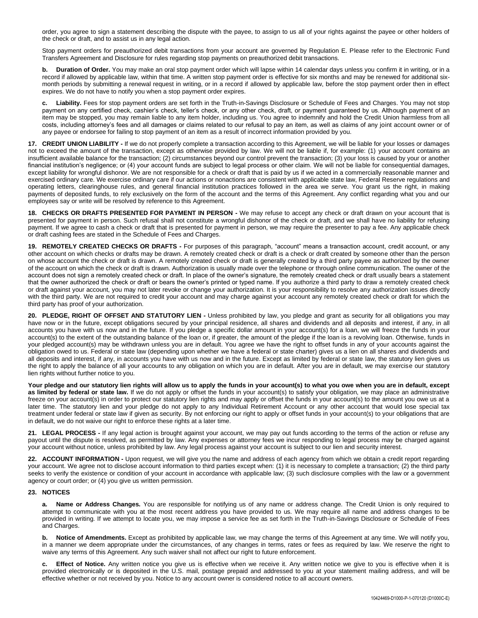order, you agree to sign a statement describing the dispute with the payee, to assign to us all of your rights against the payee or other holders of the check or draft, and to assist us in any legal action.

Stop payment orders for preauthorized debit transactions from your account are governed by Regulation E. Please refer to the Electronic Fund Transfers Agreement and Disclosure for rules regarding stop payments on preauthorized debit transactions.

**b. Duration of Order.** You may make an oral stop payment order which will lapse within 14 calendar days unless you confirm it in writing, or in a record if allowed by applicable law, within that time. A written stop payment order is effective for six months and may be renewed for additional sixmonth periods by submitting a renewal request in writing, or in a record if allowed by applicable law, before the stop payment order then in effect expires. We do not have to notify you when a stop payment order expires.

**c. Liability.** Fees for stop payment orders are set forth in the Truth-in-Savings Disclosure or Schedule of Fees and Charges. You may not stop payment on any certified check, cashier's check, teller's check, or any other check, draft, or payment guaranteed by us. Although payment of an item may be stopped, you may remain liable to any item holder, including us. You agree to indemnify and hold the Credit Union harmless from all costs, including attorney's fees and all damages or claims related to our refusal to pay an item, as well as claims of any joint account owner or of any payee or endorsee for failing to stop payment of an item as a result of incorrect information provided by you.

**17. CREDIT UNION LIABILITY -** If we do not properly complete a transaction according to this Agreement, we will be liable for your losses or damages not to exceed the amount of the transaction, except as otherwise provided by law. We will not be liable if, for example: (1) your account contains an insufficient available balance for the transaction; (2) circumstances beyond our control prevent the transaction; (3) your loss is caused by your or another financial institution's negligence; or (4) your account funds are subject to legal process or other claim. We will not be liable for consequential damages, except liability for wrongful dishonor. We are not responsible for a check or draft that is paid by us if we acted in a commercially reasonable manner and exercised ordinary care. We exercise ordinary care if our actions or nonactions are consistent with applicable state law, Federal Reserve regulations and operating letters, clearinghouse rules, and general financial institution practices followed in the area we serve. You grant us the right, in making payments of deposited funds, to rely exclusively on the form of the account and the terms of this Agreement. Any conflict regarding what you and our employees say or write will be resolved by reference to this Agreement.

**18. CHECKS OR DRAFTS PRESENTED FOR PAYMENT IN PERSON -** We may refuse to accept any check or draft drawn on your account that is presented for payment in person. Such refusal shall not constitute a wrongful dishonor of the check or draft, and we shall have no liability for refusing payment. If we agree to cash a check or draft that is presented for payment in person, we may require the presenter to pay a fee. Any applicable check or draft cashing fees are stated in the Schedule of Fees and Charges.

**19. REMOTELY CREATED CHECKS OR DRAFTS -** For purposes of this paragraph, "account" means a transaction account, credit account, or any other account on which checks or drafts may be drawn. A remotely created check or draft is a check or draft created by someone other than the person on whose account the check or draft is drawn. A remotely created check or draft is generally created by a third party payee as authorized by the owner of the account on which the check or draft is drawn. Authorization is usually made over the telephone or through online communication. The owner of the account does not sign a remotely created check or draft. In place of the owner's signature, the remotely created check or draft usually bears a statement that the owner authorized the check or draft or bears the owner's printed or typed name. If you authorize a third party to draw a remotely created check or draft against your account, you may not later revoke or change your authorization. It is your responsibility to resolve any authorization issues directly with the third party. We are not required to credit your account and may charge against your account any remotely created check or draft for which the third party has proof of your authorization.

**20. PLEDGE, RIGHT OF OFFSET AND STATUTORY LIEN -** Unless prohibited by law, you pledge and grant as security for all obligations you may have now or in the future, except obligations secured by your principal residence, all shares and dividends and all deposits and interest, if any, in all accounts you have with us now and in the future. If you pledge a specific dollar amount in your account(s) for a loan, we will freeze the funds in your account(s) to the extent of the outstanding balance of the loan or, if greater, the amount of the pledge if the loan is a revolving loan. Otherwise, funds in your pledged account(s) may be withdrawn unless you are in default. You agree we have the right to offset funds in any of your accounts against the obligation owed to us. Federal or state law (depending upon whether we have a federal or state charter) gives us a lien on all shares and dividends and all deposits and interest, if any, in accounts you have with us now and in the future. Except as limited by federal or state law, the statutory lien gives us the right to apply the balance of all your accounts to any obligation on which you are in default. After you are in default, we may exercise our statutory lien rights without further notice to you.

**Your pledge and our statutory lien rights will allow us to apply the funds in your account(s) to what you owe when you are in default, except**  as limited by federal or state law. If we do not apply or offset the funds in your account(s) to satisfy your obligation, we may place an administrative freeze on your account(s) in order to protect our statutory lien rights and may apply or offset the funds in your account(s) to the amount you owe us at a later time. The statutory lien and your pledge do not apply to any Individual Retirement Account or any other account that would lose special tax treatment under federal or state law if given as security. By not enforcing our right to apply or offset funds in your account(s) to your obligations that are in default, we do not waive our right to enforce these rights at a later time.

**21. LEGAL PROCESS -** If any legal action is brought against your account, we may pay out funds according to the terms of the action or refuse any payout until the dispute is resolved, as permitted by law. Any expenses or attorney fees we incur responding to legal process may be charged against your account without notice, unless prohibited by law. Any legal process against your account is subject to our lien and security interest.

**22. ACCOUNT INFORMATION -** Upon request, we will give you the name and address of each agency from which we obtain a credit report regarding your account. We agree not to disclose account information to third parties except when: (1) it is necessary to complete a transaction; (2) the third party seeks to verify the existence or condition of your account in accordance with applicable law; (3) such disclosure complies with the law or a government agency or court order; or (4) you give us written permission.

### **23. NOTICES**

**Name or Address Changes.** You are responsible for notifying us of any name or address change. The Credit Union is only required to attempt to communicate with you at the most recent address you have provided to us. We may require all name and address changes to be provided in writing. If we attempt to locate you, we may impose a service fee as set forth in the Truth-in-Savings Disclosure or Schedule of Fees and Charges.

**b.** Notice of Amendments. Except as prohibited by applicable law, we may change the terms of this Agreement at any time. We will notify you, in a manner we deem appropriate under the circumstances, of any changes in terms, rates or fees as required by law. We reserve the right to waive any terms of this Agreement. Any such waiver shall not affect our right to future enforcement.

**c. Effect of Notice.** Any written notice you give us is effective when we receive it. Any written notice we give to you is effective when it is provided electronically or is deposited in the U.S. mail, postage prepaid and addressed to you at your statement mailing address, and will be effective whether or not received by you. Notice to any account owner is considered notice to all account owners.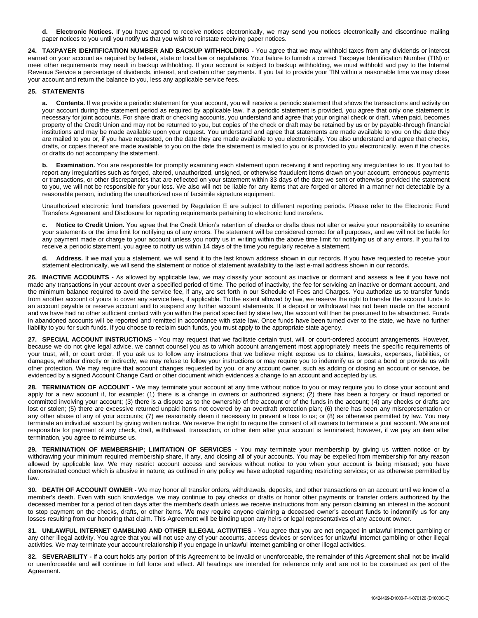**d. Electronic Notices.** If you have agreed to receive notices electronically, we may send you notices electronically and discontinue mailing paper notices to you until you notify us that you wish to reinstate receiving paper notices.

**24. TAXPAYER IDENTIFICATION NUMBER AND BACKUP WITHHOLDING -** You agree that we may withhold taxes from any dividends or interest earned on your account as required by federal, state or local law or regulations. Your failure to furnish a correct Taxpayer Identification Number (TIN) or meet other requirements may result in backup withholding. If your account is subject to backup withholding, we must withhold and pay to the Internal Revenue Service a percentage of dividends, interest, and certain other payments. If you fail to provide your TIN within a reasonable time we may close your account and return the balance to you, less any applicable service fees.

# **25. STATEMENTS**

**a. Contents.** If we provide a periodic statement for your account, you will receive a periodic statement that shows the transactions and activity on your account during the statement period as required by applicable law. If a periodic statement is provided, you agree that only one statement is necessary for joint accounts. For share draft or checking accounts, you understand and agree that your original check or draft, when paid, becomes property of the Credit Union and may not be returned to you, but copies of the check or draft may be retained by us or by payable-through financial institutions and may be made available upon your request. You understand and agree that statements are made available to you on the date they are mailed to you or, if you have requested, on the date they are made available to you electronically. You also understand and agree that checks, drafts, or copies thereof are made available to you on the date the statement is mailed to you or is provided to you electronically, even if the checks or drafts do not accompany the statement.

**b. Examination.** You are responsible for promptly examining each statement upon receiving it and reporting any irregularities to us. If you fail to report any irregularities such as forged, altered, unauthorized, unsigned, or otherwise fraudulent items drawn on your account, erroneous payments or transactions, or other discrepancies that are reflected on your statement within 33 days of the date we sent or otherwise provided the statement to you, we will not be responsible for your loss. We also will not be liable for any items that are forged or altered in a manner not detectable by a reasonable person, including the unauthorized use of facsimile signature equipment.

Unauthorized electronic fund transfers governed by Regulation E are subject to different reporting periods. Please refer to the Electronic Fund Transfers Agreement and Disclosure for reporting requirements pertaining to electronic fund transfers.

Notice to Credit Union. You agree that the Credit Union's retention of checks or drafts does not alter or waive your responsibility to examine your statements or the time limit for notifying us of any errors. The statement will be considered correct for all purposes, and we will not be liable for any payment made or charge to your account unless you notify us in writing within the above time limit for notifying us of any errors. If you fail to receive a periodic statement, you agree to notify us within 14 days of the time you regularly receive a statement.

**d. Address.** If we mail you a statement, we will send it to the last known address shown in our records. If you have requested to receive your statement electronically, we will send the statement or notice of statement availability to the last e-mail address shown in our records.

**26. INACTIVE ACCOUNTS -** As allowed by applicable law, we may classify your account as inactive or dormant and assess a fee if you have not made any transactions in your account over a specified period of time. The period of inactivity, the fee for servicing an inactive or dormant account, and the minimum balance required to avoid the service fee, if any, are set forth in our Schedule of Fees and Charges. You authorize us to transfer funds from another account of yours to cover any service fees, if applicable. To the extent allowed by law, we reserve the right to transfer the account funds to an account payable or reserve account and to suspend any further account statements. If a deposit or withdrawal has not been made on the account and we have had no other sufficient contact with you within the period specified by state law, the account will then be presumed to be abandoned. Funds in abandoned accounts will be reported and remitted in accordance with state law. Once funds have been turned over to the state, we have no further liability to you for such funds. If you choose to reclaim such funds, you must apply to the appropriate state agency.

**27. SPECIAL ACCOUNT INSTRUCTIONS -** You may request that we facilitate certain trust, will, or court-ordered account arrangements. However, because we do not give legal advice, we cannot counsel you as to which account arrangement most appropriately meets the specific requirements of your trust, will, or court order. If you ask us to follow any instructions that we believe might expose us to claims, lawsuits, expenses, liabilities, or damages, whether directly or indirectly, we may refuse to follow your instructions or may require you to indemnify us or post a bond or provide us with other protection. We may require that account changes requested by you, or any account owner, such as adding or closing an account or service, be evidenced by a signed Account Change Card or other document which evidences a change to an account and accepted by us.

**28. TERMINATION OF ACCOUNT -** We may terminate your account at any time without notice to you or may require you to close your account and apply for a new account if, for example: (1) there is a change in owners or authorized signers; (2) there has been a forgery or fraud reported or committed involving your account; (3) there is a dispute as to the ownership of the account or of the funds in the account; (4) any checks or drafts are lost or stolen; (5) there are excessive returned unpaid items not covered by an overdraft protection plan; (6) there has been any misrepresentation or any other abuse of any of your accounts; (7) we reasonably deem it necessary to prevent a loss to us; or (8) as otherwise permitted by law. You may terminate an individual account by giving written notice. We reserve the right to require the consent of all owners to terminate a joint account. We are not responsible for payment of any check, draft, withdrawal, transaction, or other item after your account is terminated; however, if we pay an item after termination, you agree to reimburse us.

**29. TERMINATION OF MEMBERSHIP; LIMITATION OF SERVICES -** You may terminate your membership by giving us written notice or by withdrawing your minimum required membership share, if any, and closing all of your accounts. You may be expelled from membership for any reason allowed by applicable law. We may restrict account access and services without notice to you when your account is being misused; you have demonstrated conduct which is abusive in nature; as outlined in any policy we have adopted regarding restricting services; or as otherwise permitted by law.

**30. DEATH OF ACCOUNT OWNER -** We may honor all transfer orders, withdrawals, deposits, and other transactions on an account until we know of a member's death. Even with such knowledge, we may continue to pay checks or drafts or honor other payments or transfer orders authorized by the deceased member for a period of ten days after the member's death unless we receive instructions from any person claiming an interest in the account to stop payment on the checks, drafts, or other items. We may require anyone claiming a deceased owner's account funds to indemnify us for any losses resulting from our honoring that claim. This Agreement will be binding upon any heirs or legal representatives of any account owner.

**31. UNLAWFUL INTERNET GAMBLING AND OTHER ILLEGAL ACTIVITIES -** You agree that you are not engaged in unlawful internet gambling or any other illegal activity. You agree that you will not use any of your accounts, access devices or services for unlawful internet gambling or other illegal activities. We may terminate your account relationship if you engage in unlawful internet gambling or other illegal activities.

**32. SEVERABILITY -** If a court holds any portion of this Agreement to be invalid or unenforceable, the remainder of this Agreement shall not be invalid or unenforceable and will continue in full force and effect. All headings are intended for reference only and are not to be construed as part of the Agreement.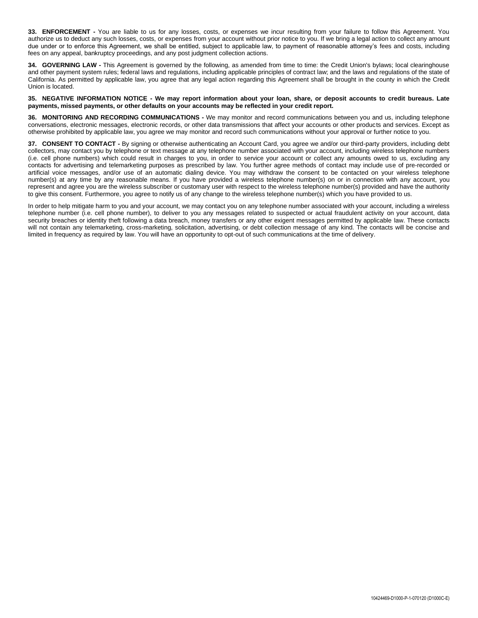**33. ENFORCEMENT -** You are liable to us for any losses, costs, or expenses we incur resulting from your failure to follow this Agreement. You authorize us to deduct any such losses, costs, or expenses from your account without prior notice to you. If we bring a legal action to collect any amount due under or to enforce this Agreement, we shall be entitled, subject to applicable law, to payment of reasonable attorney's fees and costs, including fees on any appeal, bankruptcy proceedings, and any post judgment collection actions.

**34. GOVERNING LAW -** This Agreement is governed by the following, as amended from time to time: the Credit Union's bylaws; local clearinghouse and other payment system rules; federal laws and regulations, including applicable principles of contract law; and the laws and regulations of the state of California. As permitted by applicable law, you agree that any legal action regarding this Agreement shall be brought in the county in which the Credit Union is located.

**35. NEGATIVE INFORMATION NOTICE - We may report information about your loan, share, or deposit accounts to credit bureaus. Late payments, missed payments, or other defaults on your accounts may be reflected in your credit report.**

**36. MONITORING AND RECORDING COMMUNICATIONS -** We may monitor and record communications between you and us, including telephone conversations, electronic messages, electronic records, or other data transmissions that affect your accounts or other products and services. Except as otherwise prohibited by applicable law, you agree we may monitor and record such communications without your approval or further notice to you.

**37. CONSENT TO CONTACT -** By signing or otherwise authenticating an Account Card, you agree we and/or our third-party providers, including debt collectors, may contact you by telephone or text message at any telephone number associated with your account, including wireless telephone numbers (i.e. cell phone numbers) which could result in charges to you, in order to service your account or collect any amounts owed to us, excluding any contacts for advertising and telemarketing purposes as prescribed by law. You further agree methods of contact may include use of pre-recorded or artificial voice messages, and/or use of an automatic dialing device. You may withdraw the consent to be contacted on your wireless telephone number(s) at any time by any reasonable means. If you have provided a wireless telephone number(s) on or in connection with any account, you represent and agree you are the wireless subscriber or customary user with respect to the wireless telephone number(s) provided and have the authority to give this consent. Furthermore, you agree to notify us of any change to the wireless telephone number(s) which you have provided to us.

In order to help mitigate harm to you and your account, we may contact you on any telephone number associated with your account, including a wireless telephone number (i.e. cell phone number), to deliver to you any messages related to suspected or actual fraudulent activity on your account, data security breaches or identity theft following a data breach, money transfers or any other exigent messages permitted by applicable law. These contacts will not contain any telemarketing, cross-marketing, solicitation, advertising, or debt collection message of any kind. The contacts will be concise and limited in frequency as required by law. You will have an opportunity to opt-out of such communications at the time of delivery.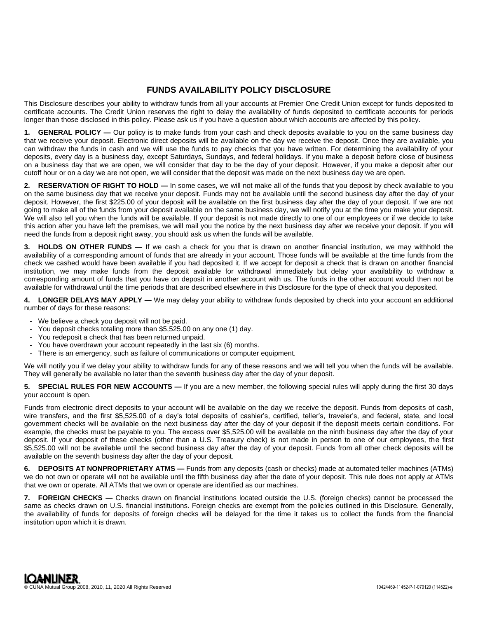# **FUNDS AVAILABILITY POLICY DISCLOSURE**

This Disclosure describes your ability to withdraw funds from all your accounts at Premier One Credit Union except for funds deposited to certificate accounts. The Credit Union reserves the right to delay the availability of funds deposited to certificate accounts for periods longer than those disclosed in this policy. Please ask us if you have a question about which accounts are affected by this policy.

1. **GENERAL POLICY** — Our policy is to make funds from your cash and check deposits available to you on the same business day that we receive your deposit. Electronic direct deposits will be available on the day we receive the deposit. Once they are available, you can withdraw the funds in cash and we will use the funds to pay checks that you have written. For determining the availability of your deposits, every day is a business day, except Saturdays, Sundays, and federal holidays. If you make a deposit before close of business on a business day that we are open, we will consider that day to be the day of your deposit. However, if you make a deposit after our cutoff hour or on a day we are not open, we will consider that the deposit was made on the next business day we are open.

**2. RESERVATION OF RIGHT TO HOLD —** In some cases, we will not make all of the funds that you deposit by check available to you on the same business day that we receive your deposit. Funds may not be available until the second business day after the day of your deposit. However, the first \$225.00 of your deposit will be available on the first business day after the day of your deposit. If we are not going to make all of the funds from your deposit available on the same business day, we will notify you at the time you make your deposit. We will also tell you when the funds will be available. If your deposit is not made directly to one of our employees or if we decide to take this action after you have left the premises, we will mail you the notice by the next business day after we receive your deposit. If you will need the funds from a deposit right away, you should ask us when the funds will be available.

**3. HOLDS ON OTHER FUNDS —** If we cash a check for you that is drawn on another financial institution, we may withhold the availability of a corresponding amount of funds that are already in your account. Those funds will be available at the time funds from the check we cashed would have been available if you had deposited it. If we accept for deposit a check that is drawn on another financial institution, we may make funds from the deposit available for withdrawal immediately but delay your availability to withdraw a corresponding amount of funds that you have on deposit in another account with us. The funds in the other account would then not be available for withdrawal until the time periods that are described elsewhere in this Disclosure for the type of check that you deposited.

**4. LONGER DELAYS MAY APPLY —** We may delay your ability to withdraw funds deposited by check into your account an additional number of days for these reasons:

- We believe a check you deposit will not be paid.
- You deposit checks totaling more than \$5,525.00 on any one (1) day.
- You redeposit a check that has been returned unpaid.
- You have overdrawn your account repeatedly in the last six (6) months.
- There is an emergency, such as failure of communications or computer equipment.

We will notify you if we delay your ability to withdraw funds for any of these reasons and we will tell you when the funds will be available. They will generally be available no later than the seventh business day after the day of your deposit.

**5. SPECIAL RULES FOR NEW ACCOUNTS —** If you are a new member, the following special rules will apply during the first 30 days your account is open.

Funds from electronic direct deposits to your account will be available on the day we receive the deposit. Funds from deposits of cash, wire transfers, and the first \$5,525.00 of a day's total deposits of cashier's, certified, teller's, traveler's, and federal, state, and local government checks will be available on the next business day after the day of your deposit if the deposit meets certain conditions. For example, the checks must be payable to you. The excess over \$5,525.00 will be available on the ninth business day after the day of your deposit. If your deposit of these checks (other than a U.S. Treasury check) is not made in person to one of our employees, the first \$5,525.00 will not be available until the second business day after the day of your deposit. Funds from all other check deposits will be available on the seventh business day after the day of your deposit.

**6. DEPOSITS AT NONPROPRIETARY ATMS —** Funds from any deposits (cash or checks) made at automated teller machines (ATMs) we do not own or operate will not be available until the fifth business day after the date of your deposit. This rule does not apply at ATMs that we own or operate. All ATMs that we own or operate are identified as our machines.

**7. FOREIGN CHECKS —** Checks drawn on financial institutions located outside the U.S. (foreign checks) cannot be processed the same as checks drawn on U.S. financial institutions. Foreign checks are exempt from the policies outlined in this Disclosure. Generally, the availability of funds for deposits of foreign checks will be delayed for the time it takes us to collect the funds from the financial institution upon which it is drawn.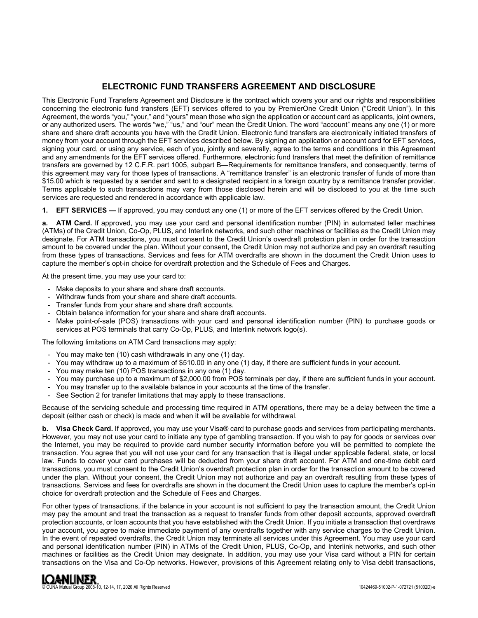# **ELECTRONIC FUND TRANSFERS AGREEMENT AND DISCLOSURE**

This Electronic Fund Transfers Agreement and Disclosure is the contract which covers your and our rights and responsibilities concerning the electronic fund transfers (EFT) services offered to you by PremierOne Credit Union ("Credit Union"). In this Agreement, the words "you," "your," and "yours" mean those who sign the application or account card as applicants, joint owners, or any authorized users. The words "we," "us," and "our" mean the Credit Union. The word "account" means any one (1) or more share and share draft accounts you have with the Credit Union. Electronic fund transfers are electronically initiated transfers of money from your account through the EFT services described below. By signing an application or account card for EFT services, signing your card, or using any service, each of you, jointly and severally, agree to the terms and conditions in this Agreement and any amendments for the EFT services offered. Furthermore, electronic fund transfers that meet the definition of remittance transfers are governed by 12 C.F.R. part 1005, subpart B—Requirements for remittance transfers, and consequently, terms of this agreement may vary for those types of transactions. A "remittance transfer" is an electronic transfer of funds of more than \$15.00 which is requested by a sender and sent to a designated recipient in a foreign country by a remittance transfer provider. Terms applicable to such transactions may vary from those disclosed herein and will be disclosed to you at the time such services are requested and rendered in accordance with applicable law.

**1. EFT SERVICES —** If approved, you may conduct any one (1) or more of the EFT services offered by the Credit Union.

**a. ATM Card.** If approved, you may use your card and personal identification number (PIN) in automated teller machines (ATMs) of the Credit Union, Co-Op, PLUS, and Interlink networks, and such other machines or facilities as the Credit Union may designate. For ATM transactions, you must consent to the Credit Union's overdraft protection plan in order for the transaction amount to be covered under the plan. Without your consent, the Credit Union may not authorize and pay an overdraft resulting from these types of transactions. Services and fees for ATM overdrafts are shown in the document the Credit Union uses to capture the member's opt-in choice for overdraft protection and the Schedule of Fees and Charges.

At the present time, you may use your card to:

- Make deposits to your share and share draft accounts.
- Withdraw funds from your share and share draft accounts.
- Transfer funds from your share and share draft accounts.
- Obtain balance information for your share and share draft accounts.
- Make point-of-sale (POS) transactions with your card and personal identification number (PIN) to purchase goods or services at POS terminals that carry Co-Op, PLUS, and Interlink network logo(s).

The following limitations on ATM Card transactions may apply:

- You may make ten (10) cash withdrawals in any one (1) day.
- You may withdraw up to a maximum of \$510.00 in any one (1) day, if there are sufficient funds in your account.
- You may make ten (10) POS transactions in any one (1) day.
- You may purchase up to a maximum of \$2,000.00 from POS terminals per day, if there are sufficient funds in your account.
- You may transfer up to the available balance in your accounts at the time of the transfer.
- See Section 2 for transfer limitations that may apply to these transactions.

Because of the servicing schedule and processing time required in ATM operations, there may be a delay between the time a deposit (either cash or check) is made and when it will be available for withdrawal.

**b. Visa Check Card.** If approved, you may use your Visa® card to purchase goods and services from participating merchants. However, you may not use your card to initiate any type of gambling transaction. If you wish to pay for goods or services over the Internet, you may be required to provide card number security information before you will be permitted to complete the transaction. You agree that you will not use your card for any transaction that is illegal under applicable federal, state, or local law. Funds to cover your card purchases will be deducted from your share draft account. For ATM and one-time debit card transactions, you must consent to the Credit Union's overdraft protection plan in order for the transaction amount to be covered under the plan. Without your consent, the Credit Union may not authorize and pay an overdraft resulting from these types of transactions. Services and fees for overdrafts are shown in the document the Credit Union uses to capture the member's opt-in choice for overdraft protection and the Schedule of Fees and Charges.

For other types of transactions, if the balance in your account is not sufficient to pay the transaction amount, the Credit Union may pay the amount and treat the transaction as a request to transfer funds from other deposit accounts, approved overdraft protection accounts, or loan accounts that you have established with the Credit Union. If you initiate a transaction that overdraws your account, you agree to make immediate payment of any overdrafts together with any service charges to the Credit Union. In the event of repeated overdrafts, the Credit Union may terminate all services under this Agreement. You may use your card and personal identification number (PIN) in ATMs of the Credit Union, PLUS, Co-Op, and Interlink networks, and such other machines or facilities as the Credit Union may designate. In addition, you may use your Visa card without a PIN for certain transactions on the Visa and Co-Op networks. However, provisions of this Agreement relating only to Visa debit transactions,

© CUNA Mutual Group 2008-10, 12-14, 17, 2020 All Rights Reserved 10424469-51002-P-1-072721 (51002D)-e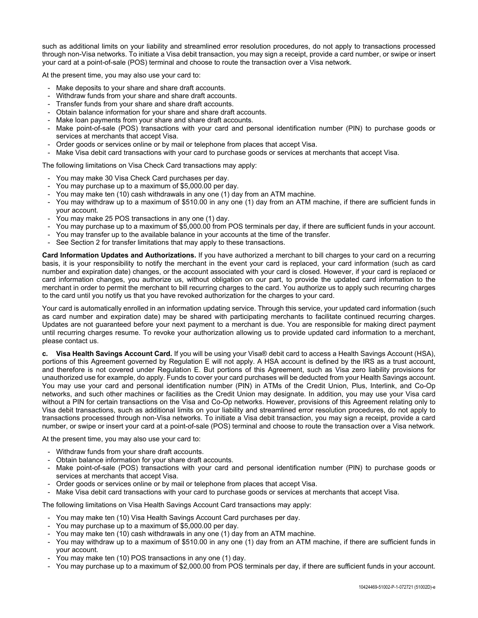such as additional limits on your liability and streamlined error resolution procedures, do not apply to transactions processed through non-Visa networks. To initiate a Visa debit transaction, you may sign a receipt, provide a card number, or swipe or insert your card at a point-of-sale (POS) terminal and choose to route the transaction over a Visa network.

At the present time, you may also use your card to:

- Make deposits to your share and share draft accounts.
- Withdraw funds from your share and share draft accounts.
- Transfer funds from your share and share draft accounts.
- Obtain balance information for your share and share draft accounts.
- Make loan payments from your share and share draft accounts.
- Make point-of-sale (POS) transactions with your card and personal identification number (PIN) to purchase goods or services at merchants that accept Visa.
- Order goods or services online or by mail or telephone from places that accept Visa.
- Make Visa debit card transactions with your card to purchase goods or services at merchants that accept Visa.

The following limitations on Visa Check Card transactions may apply:

- You may make 30 Visa Check Card purchases per day.
- You may purchase up to a maximum of \$5,000.00 per day.
- You may make ten (10) cash withdrawals in any one (1) day from an ATM machine.
- You may withdraw up to a maximum of \$510.00 in any one (1) day from an ATM machine, if there are sufficient funds in your account.
- You may make 25 POS transactions in any one (1) day.
- You may purchase up to a maximum of \$5,000.00 from POS terminals per day, if there are sufficient funds in your account.
- You may transfer up to the available balance in your accounts at the time of the transfer.
- See Section 2 for transfer limitations that may apply to these transactions.

**Card Information Updates and Authorizations.** If you have authorized a merchant to bill charges to your card on a recurring basis, it is your responsibility to notify the merchant in the event your card is replaced, your card information (such as card number and expiration date) changes, or the account associated with your card is closed. However, if your card is replaced or card information changes, you authorize us, without obligation on our part, to provide the updated card information to the merchant in order to permit the merchant to bill recurring charges to the card. You authorize us to apply such recurring charges to the card until you notify us that you have revoked authorization for the charges to your card.

Your card is automatically enrolled in an information updating service. Through this service, your updated card information (such as card number and expiration date) may be shared with participating merchants to facilitate continued recurring charges. Updates are not guaranteed before your next payment to a merchant is due. You are responsible for making direct payment until recurring charges resume. To revoke your authorization allowing us to provide updated card information to a merchant, please contact us.

**c. Visa Health Savings Account Card.** If you will be using your Visa® debit card to access a Health Savings Account (HSA), portions of this Agreement governed by Regulation E will not apply. A HSA account is defined by the IRS as a trust account, and therefore is not covered under Regulation E. But portions of this Agreement, such as Visa zero liability provisions for unauthorized use for example, do apply. Funds to cover your card purchases will be deducted from your Health Savings account. You may use your card and personal identification number (PIN) in ATMs of the Credit Union, Plus, Interlink, and Co-Op networks, and such other machines or facilities as the Credit Union may designate. In addition, you may use your Visa card without a PIN for certain transactions on the Visa and Co-Op networks. However, provisions of this Agreement relating only to Visa debit transactions, such as additional limits on your liability and streamlined error resolution procedures, do not apply to transactions processed through non-Visa networks. To initiate a Visa debit transaction, you may sign a receipt, provide a card number, or swipe or insert your card at a point-of-sale (POS) terminal and choose to route the transaction over a Visa network.

At the present time, you may also use your card to:

- Withdraw funds from your share draft accounts.
- Obtain balance information for your share draft accounts.
- Make point-of-sale (POS) transactions with your card and personal identification number (PIN) to purchase goods or services at merchants that accept Visa.
- Order goods or services online or by mail or telephone from places that accept Visa.
- Make Visa debit card transactions with your card to purchase goods or services at merchants that accept Visa.

The following limitations on Visa Health Savings Account Card transactions may apply:

- You may make ten (10) Visa Health Savings Account Card purchases per day.
- You may purchase up to a maximum of \$5,000.00 per day.
- You may make ten (10) cash withdrawals in any one (1) day from an ATM machine.
- You may withdraw up to a maximum of \$510.00 in any one (1) day from an ATM machine, if there are sufficient funds in your account.
- You may make ten (10) POS transactions in any one (1) day.
- You may purchase up to a maximum of \$2,000.00 from POS terminals per day, if there are sufficient funds in your account.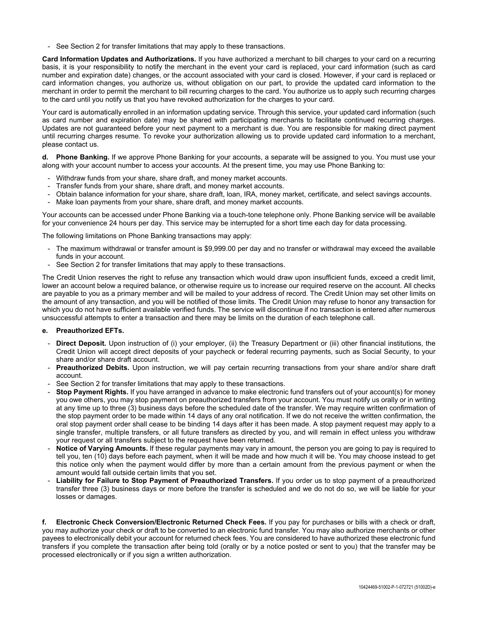- See Section 2 for transfer limitations that may apply to these transactions.

**Card Information Updates and Authorizations.** If you have authorized a merchant to bill charges to your card on a recurring basis, it is your responsibility to notify the merchant in the event your card is replaced, your card information (such as card number and expiration date) changes, or the account associated with your card is closed. However, if your card is replaced or card information changes, you authorize us, without obligation on our part, to provide the updated card information to the merchant in order to permit the merchant to bill recurring charges to the card. You authorize us to apply such recurring charges to the card until you notify us that you have revoked authorization for the charges to your card.

Your card is automatically enrolled in an information updating service. Through this service, your updated card information (such as card number and expiration date) may be shared with participating merchants to facilitate continued recurring charges. Updates are not guaranteed before your next payment to a merchant is due. You are responsible for making direct payment until recurring charges resume. To revoke your authorization allowing us to provide updated card information to a merchant, please contact us.

**d. Phone Banking.** If we approve Phone Banking for your accounts, a separate will be assigned to you. You must use your along with your account number to access your accounts. At the present time, you may use Phone Banking to:

- Withdraw funds from your share, share draft, and money market accounts.
- Transfer funds from your share, share draft, and money market accounts.
- Obtain balance information for your share, share draft, loan, IRA, money market, certificate, and select savings accounts.
- Make loan payments from your share, share draft, and money market accounts.

Your accounts can be accessed under Phone Banking via a touch-tone telephone only. Phone Banking service will be available for your convenience 24 hours per day. This service may be interrupted for a short time each day for data processing.

The following limitations on Phone Banking transactions may apply:

- The maximum withdrawal or transfer amount is \$9,999.00 per day and no transfer or withdrawal may exceed the available funds in your account.
- See Section 2 for transfer limitations that may apply to these transactions.

The Credit Union reserves the right to refuse any transaction which would draw upon insufficient funds, exceed a credit limit, lower an account below a required balance, or otherwise require us to increase our required reserve on the account. All checks are payable to you as a primary member and will be mailed to your address of record. The Credit Union may set other limits on the amount of any transaction, and you will be notified of those limits. The Credit Union may refuse to honor any transaction for which you do not have sufficient available verified funds. The service will discontinue if no transaction is entered after numerous unsuccessful attempts to enter a transaction and there may be limits on the duration of each telephone call.

# **e. Preauthorized EFTs.**

- **Direct Deposit.** Upon instruction of (i) your employer, (ii) the Treasury Department or (iii) other financial institutions, the Credit Union will accept direct deposits of your paycheck or federal recurring payments, such as Social Security, to your share and/or share draft account.
- **Preauthorized Debits.** Upon instruction, we will pay certain recurring transactions from your share and/or share draft account.
- See Section 2 for transfer limitations that may apply to these transactions.
- **Stop Payment Rights.** If you have arranged in advance to make electronic fund transfers out of your account(s) for money you owe others, you may stop payment on preauthorized transfers from your account. You must notify us orally or in writing at any time up to three (3) business days before the scheduled date of the transfer. We may require written confirmation of the stop payment order to be made within 14 days of any oral notification. If we do not receive the written confirmation, the oral stop payment order shall cease to be binding 14 days after it has been made. A stop payment request may apply to a single transfer, multiple transfers, or all future transfers as directed by you, and will remain in effect unless you withdraw your request or all transfers subject to the request have been returned.
- Notice of Varying Amounts. If these regular payments may vary in amount, the person you are going to pay is required to tell you, ten (10) days before each payment, when it will be made and how much it will be. You may choose instead to get this notice only when the payment would differ by more than a certain amount from the previous payment or when the amount would fall outside certain limits that you set.
- Liability for Failure to Stop Payment of Preauthorized Transfers. If you order us to stop payment of a preauthorized transfer three (3) business days or more before the transfer is scheduled and we do not do so, we will be liable for your losses or damages.

**f. Electronic Check Conversion/Electronic Returned Check Fees.** If you pay for purchases or bills with a check or draft, you may authorize your check or draft to be converted to an electronic fund transfer. You may also authorize merchants or other payees to electronically debit your account for returned check fees. You are considered to have authorized these electronic fund transfers if you complete the transaction after being told (orally or by a notice posted or sent to you) that the transfer may be processed electronically or if you sign a written authorization.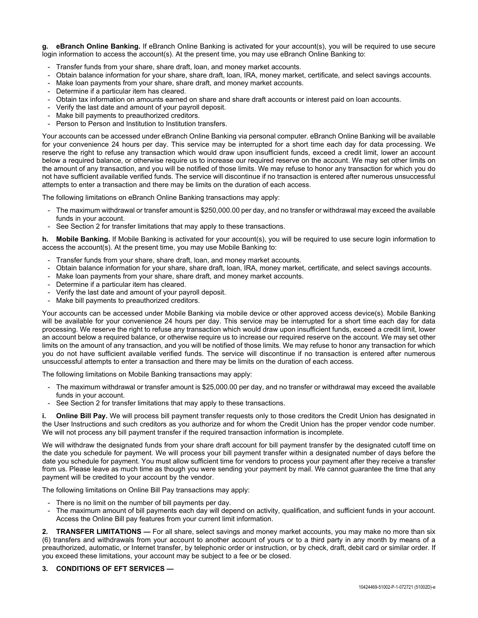**g. eBranch Online Banking.** If eBranch Online Banking is activated for your account(s), you will be required to use secure login information to access the account(s). At the present time, you may use eBranch Online Banking to:

- Transfer funds from your share, share draft, loan, and money market accounts.
- Obtain balance information for your share, share draft, loan, IRA, money market, certificate, and select savings accounts.
- Make loan payments from your share, share draft, and money market accounts.
- Determine if a particular item has cleared.
- Obtain tax information on amounts earned on share and share draft accounts or interest paid on loan accounts.
- Verify the last date and amount of your payroll deposit.
- Make bill payments to preauthorized creditors.
- Person to Person and Institution to Institution transfers.

Your accounts can be accessed under eBranch Online Banking via personal computer. eBranch Online Banking will be available for your convenience 24 hours per day. This service may be interrupted for a short time each day for data processing. We reserve the right to refuse any transaction which would draw upon insufficient funds, exceed a credit limit, lower an account below a required balance, or otherwise require us to increase our required reserve on the account. We may set other limits on the amount of any transaction, and you will be notified of those limits. We may refuse to honor any transaction for which you do not have sufficient available verified funds. The service will discontinue if no transaction is entered after numerous unsuccessful attempts to enter a transaction and there may be limits on the duration of each access.

The following limitations on eBranch Online Banking transactions may apply:

- The maximum withdrawal or transfer amount is \$250,000.00 per day, and no transfer or withdrawal may exceed the available funds in your account.
- See Section 2 for transfer limitations that may apply to these transactions.

**h. Mobile Banking.** If Mobile Banking is activated for your account(s), you will be required to use secure login information to access the account(s). At the present time, you may use Mobile Banking to:

- Transfer funds from your share, share draft, loan, and money market accounts.
- Obtain balance information for your share, share draft, loan, IRA, money market, certificate, and select savings accounts.
- Make loan payments from your share, share draft, and money market accounts.
- Determine if a particular item has cleared.
- Verify the last date and amount of your payroll deposit.
- Make bill payments to preauthorized creditors.

Your accounts can be accessed under Mobile Banking via mobile device or other approved access device(s). Mobile Banking will be available for your convenience 24 hours per day. This service may be interrupted for a short time each day for data processing. We reserve the right to refuse any transaction which would draw upon insufficient funds, exceed a credit limit, lower an account below a required balance, or otherwise require us to increase our required reserve on the account. We may set other limits on the amount of any transaction, and you will be notified of those limits. We may refuse to honor any transaction for which you do not have sufficient available verified funds. The service will discontinue if no transaction is entered after numerous unsuccessful attempts to enter a transaction and there may be limits on the duration of each access.

The following limitations on Mobile Banking transactions may apply:

- The maximum withdrawal or transfer amount is \$25,000.00 per day, and no transfer or withdrawal may exceed the available funds in your account.
- See Section 2 for transfer limitations that may apply to these transactions.

**Online Bill Pay.** We will process bill payment transfer requests only to those creditors the Credit Union has designated in the User Instructions and such creditors as you authorize and for whom the Credit Union has the proper vendor code number. We will not process any bill payment transfer if the required transaction information is incomplete.

We will withdraw the designated funds from your share draft account for bill payment transfer by the designated cutoff time on the date you schedule for payment. We will process your bill payment transfer within a designated number of days before the date you schedule for payment. You must allow sufficient time for vendors to process your payment after they receive a transfer from us. Please leave as much time as though you were sending your payment by mail. We cannot guarantee the time that any payment will be credited to your account by the vendor.

The following limitations on Online Bill Pay transactions may apply:

- There is no limit on the number of bill payments per day.
- The maximum amount of bill payments each day will depend on activity, qualification, and sufficient funds in your account. Access the Online Bill pay features from your current limit information.

**2. TRANSFER LIMITATIONS —** For all share, select savings and money market accounts, you may make no more than six (6) transfers and withdrawals from your account to another account of yours or to a third party in any month by means of a preauthorized, automatic, or Internet transfer, by telephonic order or instruction, or by check, draft, debit card or similar order. If you exceed these limitations, your account may be subject to a fee or be closed.

**3. CONDITIONS OF EFT SERVICES —**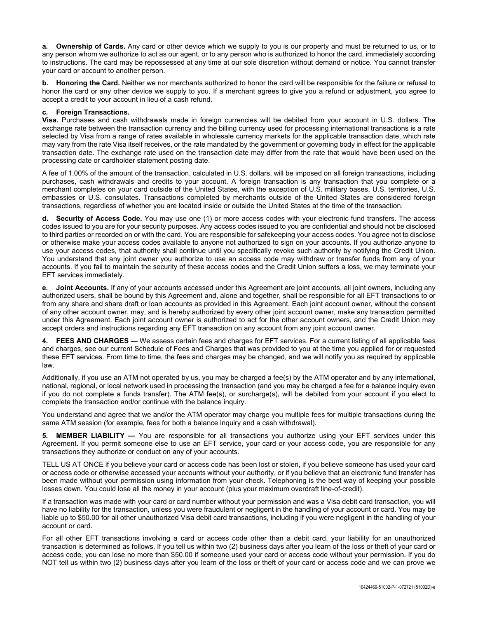**a. Ownership of Cards.** Any card or other device which we supply to you is our property and must be returned to us, or to any person whom we authorize to act as our agent, or to any person who is authorized to honor the card, immediately according to instructions. The card may be repossessed at any time at our sole discretion without demand or notice. You cannot transfer your card or account to another person.

**b. Honoring the Card.** Neither we nor merchants authorized to honor the card will be responsible for the failure or refusal to honor the card or any other device we supply to you. If a merchant agrees to give you a refund or adjustment, you agree to accept a credit to your account in lieu of a cash refund.

# **c. Foreign Transactions.**

**Visa.** Purchases and cash withdrawals made in foreign currencies will be debited from your account in U.S. dollars. The exchange rate between the transaction currency and the billing currency used for processing international transactions is a rate selected by Visa from a range of rates available in wholesale currency markets for the applicable transaction date, which rate may vary from the rate Visa itself receives, or the rate mandated by the government or governing body in effect for the applicable transaction date. The exchange rate used on the transaction date may differ from the rate that would have been used on the processing date or cardholder statement posting date.

A fee of 1.00% of the amount of the transaction, calculated in U.S. dollars, will be imposed on all foreign transactions, including purchases, cash withdrawals and credits to your account. A foreign transaction is any transaction that you complete or a merchant completes on your card outside of the United States, with the exception of U.S. military bases, U.S. territories, U.S. embassies or U.S. consulates. Transactions completed by merchants outside of the United States are considered foreign transactions, regardless of whether you are located inside or outside the United States at the time of the transaction.

**d. Security of Access Code.** You may use one (1) or more access codes with your electronic fund transfers. The access codes issued to you are for your security purposes. Any access codes issued to you are confidential and should not be disclosed to third parties or recorded on or with the card. You are responsible for safekeeping your access codes. You agree not to disclose or otherwise make your access codes available to anyone not authorized to sign on your accounts. If you authorize anyone to use your access codes, that authority shall continue until you specifically revoke such authority by notifying the Credit Union. You understand that any joint owner you authorize to use an access code may withdraw or transfer funds from any of your accounts. If you fail to maintain the security of these access codes and the Credit Union suffers a loss, we may terminate your EFT services immediately.

**e. Joint Accounts.** If any of your accounts accessed under this Agreement are joint accounts, all joint owners, including any authorized users, shall be bound by this Agreement and, alone and together, shall be responsible for all EFT transactions to or from any share and share draft or loan accounts as provided in this Agreement. Each joint account owner, without the consent of any other account owner, may, and is hereby authorized by every other joint account owner, make any transaction permitted under this Agreement. Each joint account owner is authorized to act for the other account owners, and the Credit Union may accept orders and instructions regarding any EFT transaction on any account from any joint account owner.

**4. FEES AND CHARGES —** We assess certain fees and charges for EFT services. For a current listing of all applicable fees and charges, see our current Schedule of Fees and Charges that was provided to you at the time you applied for or requested these EFT services. From time to time, the fees and charges may be changed, and we will notify you as required by applicable law.

Additionally, if you use an ATM not operated by us, you may be charged a fee(s) by the ATM operator and by any international, national, regional, or local network used in processing the transaction (and you may be charged a fee for a balance inquiry even if you do not complete a funds transfer). The ATM fee(s), or surcharge(s), will be debited from your account if you elect to complete the transaction and/or continue with the balance inquiry.

You understand and agree that we and/or the ATM operator may charge you multiple fees for multiple transactions during the same ATM session (for example, fees for both a balance inquiry and a cash withdrawal).

**5. MEMBER LIABILITY —** You are responsible for all transactions you authorize using your EFT services under this Agreement. If you permit someone else to use an EFT service, your card or your access code, you are responsible for any transactions they authorize or conduct on any of your accounts.

TELL US AT ONCE if you believe your card or access code has been lost or stolen, if you believe someone has used your card or access code or otherwise accessed your accounts without your authority, or if you believe that an electronic fund transfer has been made without your permission using information from your check. Telephoning is the best way of keeping your possible losses down. You could lose all the money in your account (plus your maximum overdraft line-of-credit).

If a transaction was made with your card or card number without your permission and was a Visa debit card transaction, you will have no liability for the transaction, unless you were fraudulent or negligent in the handling of your account or card. You may be liable up to \$50.00 for all other unauthorized Visa debit card transactions, including if you were negligent in the handling of your account or card.

For all other EFT transactions involving a card or access code other than a debit card, your liability for an unauthorized transaction is determined as follows. If you tell us within two (2) business days after you learn of the loss or theft of your card or access code, you can lose no more than \$50.00 if someone used your card or access code without your permission. If you do NOT tell us within two (2) business days after you learn of the loss or theft of your card or access code and we can prove we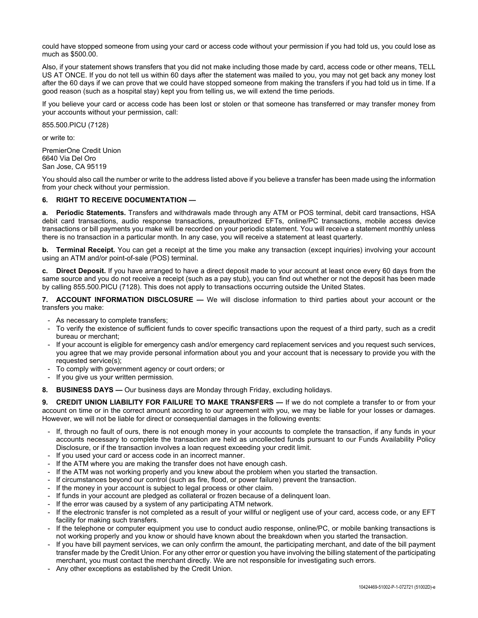could have stopped someone from using your card or access code without your permission if you had told us, you could lose as much as \$500.00.

Also, if your statement shows transfers that you did not make including those made by card, access code or other means, TELL US AT ONCE. If you do not tell us within 60 days after the statement was mailed to you, you may not get back any money lost after the 60 days if we can prove that we could have stopped someone from making the transfers if you had told us in time. If a good reason (such as a hospital stay) kept you from telling us, we will extend the time periods.

If you believe your card or access code has been lost or stolen or that someone has transferred or may transfer money from your accounts without your permission, call:

855.500.PICU (7128)

or write to:

PremierOne Credit Union 6640 Via Del Oro San Jose, CA 95119

You should also call the number or write to the address listed above if you believe a transfer has been made using the information from your check without your permission.

# **6. RIGHT TO RECEIVE DOCUMENTATION —**

**a. Periodic Statements.** Transfers and withdrawals made through any ATM or POS terminal, debit card transactions, HSA debit card transactions, audio response transactions, preauthorized EFTs, online/PC transactions, mobile access device transactions or bill payments you make will be recorded on your periodic statement. You will receive a statement monthly unless there is no transaction in a particular month. In any case, you will receive a statement at least quarterly.

**b.** Terminal Receipt. You can get a receipt at the time you make any transaction (except inquiries) involving your account using an ATM and/or point-of-sale (POS) terminal.

**c. Direct Deposit.** If you have arranged to have a direct deposit made to your account at least once every 60 days from the same source and you do not receive a receipt (such as a pay stub), you can find out whether or not the deposit has been made by calling 855.500.PICU (7128). This does not apply to transactions occurring outside the United States.

**7. ACCOUNT INFORMATION DISCLOSURE —** We will disclose information to third parties about your account or the transfers you make:

- As necessary to complete transfers;
- To verify the existence of sufficient funds to cover specific transactions upon the request of a third party, such as a credit bureau or merchant;
- If your account is eligible for emergency cash and/or emergency card replacement services and you request such services, you agree that we may provide personal information about you and your account that is necessary to provide you with the requested service(s);
- To comply with government agency or court orders; or
- If you give us your written permission.

**8. BUSINESS DAYS —** Our business days are Monday through Friday, excluding holidays.

**9. CREDIT UNION LIABILITY FOR FAILURE TO MAKE TRANSFERS —** If we do not complete a transfer to or from your account on time or in the correct amount according to our agreement with you, we may be liable for your losses or damages. However, we will not be liable for direct or consequential damages in the following events:

- If, through no fault of ours, there is not enough money in your accounts to complete the transaction, if any funds in your accounts necessary to complete the transaction are held as uncollected funds pursuant to our Funds Availability Policy Disclosure, or if the transaction involves a loan request exceeding your credit limit.
- If you used your card or access code in an incorrect manner.
- If the ATM where you are making the transfer does not have enough cash.
- If the ATM was not working properly and you knew about the problem when you started the transaction.
- If circumstances beyond our control (such as fire, flood, or power failure) prevent the transaction.
- If the money in your account is subject to legal process or other claim.
- If funds in your account are pledged as collateral or frozen because of a delinquent loan.
- If the error was caused by a system of any participating ATM network.
- If the electronic transfer is not completed as a result of your willful or negligent use of your card, access code, or any EFT facility for making such transfers.
- If the telephone or computer equipment you use to conduct audio response, online/PC, or mobile banking transactions is not working properly and you know or should have known about the breakdown when you started the transaction.
- If you have bill payment services, we can only confirm the amount, the participating merchant, and date of the bill payment transfer made by the Credit Union. For any other error or question you have involving the billing statement of the participating merchant, you must contact the merchant directly. We are not responsible for investigating such errors.
- Any other exceptions as established by the Credit Union.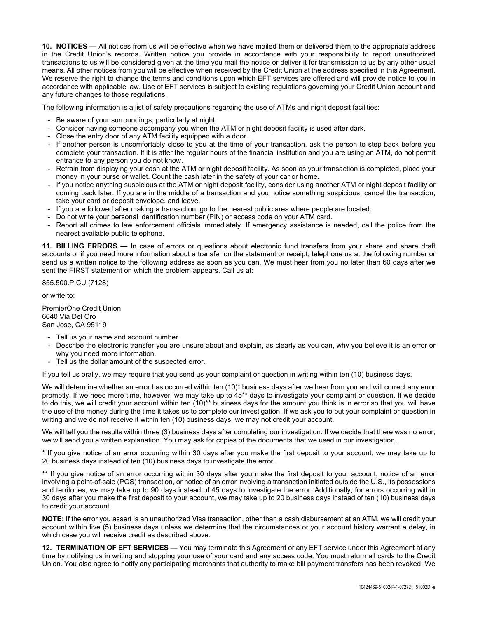**10. NOTICES —** All notices from us will be effective when we have mailed them or delivered them to the appropriate address in the Credit Union's records. Written notice you provide in accordance with your responsibility to report unauthorized transactions to us will be considered given at the time you mail the notice or deliver it for transmission to us by any other usual means. All other notices from you will be effective when received by the Credit Union at the address specified in this Agreement. We reserve the right to change the terms and conditions upon which EFT services are offered and will provide notice to you in accordance with applicable law. Use of EFT services is subject to existing regulations governing your Credit Union account and any future changes to those regulations.

The following information is a list of safety precautions regarding the use of ATMs and night deposit facilities:

- Be aware of your surroundings, particularly at night.
- Consider having someone accompany you when the ATM or night deposit facility is used after dark.
- Close the entry door of any ATM facility equipped with a door.
- If another person is uncomfortably close to you at the time of your transaction, ask the person to step back before you complete your transaction. If it is after the regular hours of the financial institution and you are using an ATM, do not permit entrance to any person you do not know.
- Refrain from displaying your cash at the ATM or night deposit facility. As soon as your transaction is completed, place your money in your purse or wallet. Count the cash later in the safety of your car or home.
- If you notice anything suspicious at the ATM or night deposit facility, consider using another ATM or night deposit facility or coming back later. If you are in the middle of a transaction and you notice something suspicious, cancel the transaction, take your card or deposit envelope, and leave.
- If you are followed after making a transaction, go to the nearest public area where people are located.
- Do not write your personal identification number (PIN) or access code on your ATM card.
- Report all crimes to law enforcement officials immediately. If emergency assistance is needed, call the police from the nearest available public telephone.

**11. BILLING ERRORS —** In case of errors or questions about electronic fund transfers from your share and share draft accounts or if you need more information about a transfer on the statement or receipt, telephone us at the following number or send us a written notice to the following address as soon as you can. We must hear from you no later than 60 days after we sent the FIRST statement on which the problem appears. Call us at:

855.500.PICU (7128)

or write to:

PremierOne Credit Union 6640 Via Del Oro San Jose, CA 95119

- Tell us your name and account number.
- Describe the electronic transfer you are unsure about and explain, as clearly as you can, why you believe it is an error or why you need more information.
- Tell us the dollar amount of the suspected error.

If you tell us orally, we may require that you send us your complaint or question in writing within ten (10) business days.

We will determine whether an error has occurred within ten (10)\* business days after we hear from you and will correct any error promptly. If we need more time, however, we may take up to 45\*\* days to investigate your complaint or question. If we decide to do this, we will credit your account within ten (10)\*\* business days for the amount you think is in error so that you will have the use of the money during the time it takes us to complete our investigation. If we ask you to put your complaint or question in writing and we do not receive it within ten (10) business days, we may not credit your account.

We will tell you the results within three (3) business days after completing our investigation. If we decide that there was no error, we will send you a written explanation. You may ask for copies of the documents that we used in our investigation.

\* If you give notice of an error occurring within 30 days after you make the first deposit to your account, we may take up to 20 business days instead of ten (10) business days to investigate the error.

\*\* If you give notice of an error occurring within 30 days after you make the first deposit to your account, notice of an error involving a point-of-sale (POS) transaction, or notice of an error involving a transaction initiated outside the U.S., its possessions and territories, we may take up to 90 days instead of 45 days to investigate the error. Additionally, for errors occurring within 30 days after you make the first deposit to your account, we may take up to 20 business days instead of ten (10) business days to credit your account.

**NOTE:** If the error you assert is an unauthorized Visa transaction, other than a cash disbursement at an ATM, we will credit your account within five (5) business days unless we determine that the circumstances or your account history warrant a delay, in which case you will receive credit as described above.

**12. TERMINATION OF EFT SERVICES —** You may terminate this Agreement or any EFT service under this Agreement at any time by notifying us in writing and stopping your use of your card and any access code. You must return all cards to the Credit Union. You also agree to notify any participating merchants that authority to make bill payment transfers has been revoked. We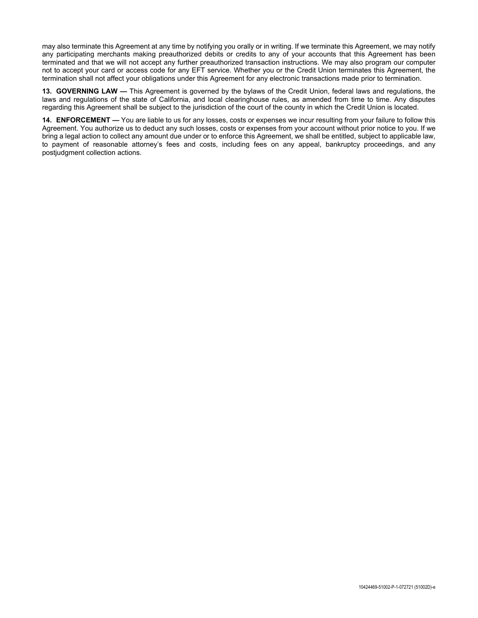may also terminate this Agreement at any time by notifying you orally or in writing. If we terminate this Agreement, we may notify any participating merchants making preauthorized debits or credits to any of your accounts that this Agreement has been terminated and that we will not accept any further preauthorized transaction instructions. We may also program our computer not to accept your card or access code for any EFT service. Whether you or the Credit Union terminates this Agreement, the termination shall not affect your obligations under this Agreement for any electronic transactions made prior to termination.

**13. GOVERNING LAW —** This Agreement is governed by the bylaws of the Credit Union, federal laws and regulations, the laws and regulations of the state of California, and local clearinghouse rules, as amended from time to time. Any disputes regarding this Agreement shall be subject to the jurisdiction of the court of the county in which the Credit Union is located.

**14. ENFORCEMENT —** You are liable to us for any losses, costs or expenses we incur resulting from your failure to follow this Agreement. You authorize us to deduct any such losses, costs or expenses from your account without prior notice to you. If we bring a legal action to collect any amount due under or to enforce this Agreement, we shall be entitled, subject to applicable law, to payment of reasonable attorney's fees and costs, including fees on any appeal, bankruptcy proceedings, and any postjudgment collection actions.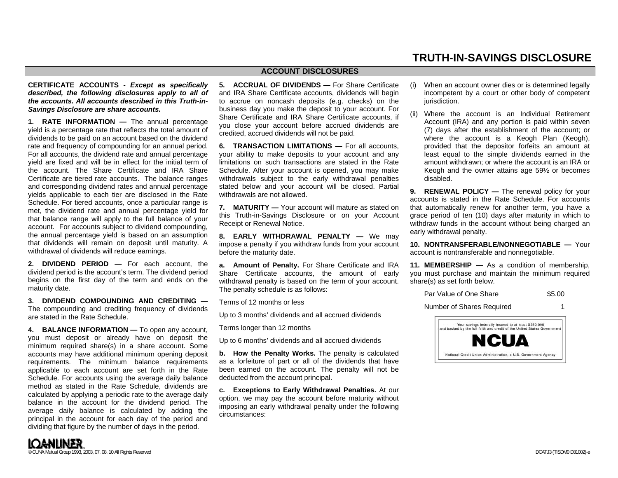# **TRUTH-IN-SAVINGS DISCLOSURE**

# **CERTIFICATE ACCOUNTS -** *Except as specifically described, the following disclosures apply to all of the accounts. All accounts described in this Truth-in-Savings Disclosure are share accounts.*

**1. RATE INFORMATION —** The annual percentage yield is a percentage rate that reflects the total amount of dividends to be paid on an account based on the dividend rate and frequency of compounding for an annual period. For all accounts, the dividend rate and annual percentage yield are fixed and will be in effect for the initial term of the account. The Share Certificate and IRA Share Certificate are tiered rate accounts. The balance ranges and corresponding dividend rates and annual percentage yields applicable to each tier are disclosed in the Rate Schedule. For tiered accounts, once a particular range is met, the dividend rate and annual percentage yield for that balance range will apply to the full balance of your account. For accounts subject to dividend compounding, the annual percentage yield is based on an assumption that dividends will remain on deposit until maturity. A withdrawal of dividends will reduce earnings.

**2. DIVIDEND PERIOD —** For each account, the dividend period is the account's term. The dividend period begins on the first day of the term and ends on the maturity date.

**3. DIVIDEND COMPOUNDING AND CREDITING —**The compounding and crediting frequency of dividends are stated in the Rate Schedule.

**4. BALANCE INFORMATION —** To open any account, you must deposit or already have on deposit the minimum required share(s) in a share account. Some accounts may have additional minimum opening deposit requirements. The minimum balance requirements applicable to each account are set forth in the Rate Schedule. For accounts using the average daily balance method as stated in the Rate Schedule, dividends are calculated by applying a periodic rate to the average daily balance in the account for the dividend period. The average daily balance is calculated by adding the principal in the account for each day of the period and dividing that figure by the number of days in the period.

**5. ACCRUAL OF DIVIDENDS —** For Share Certificate and IRA Share Certificate accounts, dividends will begin to accrue on noncash deposits (e.g. checks) on the business day you make the deposit to your account. For Share Certificate and IRA Share Certificate accounts, if you close your account before accrued dividends are credited, accrued dividends will not be paid.

**ACCOUNT DISCLOSURES** 

**6. TRANSACTION LIMITATIONS —** For all accounts, your ability to make deposits to your account and any limitations on such transactions are stated in the Rate Schedule. After your account is opened, you may make withdrawals subject to the early withdrawal penalties stated below and your account will be closed. Partial withdrawals are not allowed.

**7. MATURITY —** Your account will mature as stated on this Truth-in-Savings Disclosure or on your Account Receipt or Renewal Notice.

**8. EARLY WITHDRAWAL PENALTY —** We may impose a penalty if you withdraw funds from your account before the maturity date.

**a. Amount of Penalty.** For Share Certificate and IRA Share Certificate accounts, the amount of early withdrawal penalty is based on the term of your account. The penalty schedule is as follows:

Terms of 12 months or less

Up to 3 months' dividends and all accrued dividends

Terms longer than 12 months

Up to 6 months' dividends and all accrued dividends

**b. How the Penalty Works.** The penalty is calculated as a forfeiture of part or all of the dividends that have been earned on the account. The penalty will not be deducted from the account principal.

**c. Exceptions to Early Withdrawal Penalties.** At our option, we may pay the account before maturity without imposing an early withdrawal penalty under the following circumstances:

(ii) Where the account is an Individual Retirement Account (IRA) and any portion is paid within seven (7) days after the establishment of the account; or where the account is a Keogh Plan (Keogh), provided that the depositor forfeits an amount at least equal to the simple dividends earned in the amount withdrawn; or where the account is an IRA or Keogh and the owner attains age 59½ or becomes disabled.

**9. RENEWAL POLICY** — The renewal policy for your accounts is stated in the Rate Schedule. For accounts that automatically renew for another term, you have a grace period of ten (10) days after maturity in which to withdraw funds in the account without being charged an early withdrawal penalty.

**10. NONTRANSFERABLE/NONNEGOTIABLE —** Your account is nontransferable and nonnegotiable.

**11. MEMBERSHIP —** As a condition of membership, you must purchase and maintain the minimum required share(s) as set forth below.

Par Value of One Share \$5.00

Number of Shares Required 1



<sup>(</sup>i) When an account owner dies or is determined legally incompetent by a court or other body of competent jurisdiction.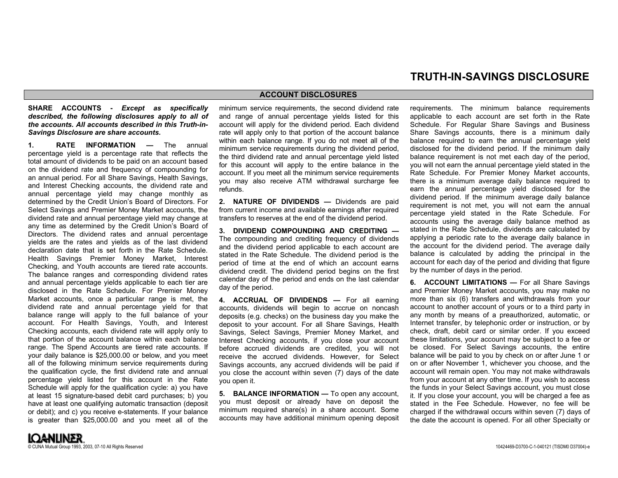# **TRUTH-IN-SAVINGS DISCLOSURE**

### **ACCOUNT DISCLOSURES**

# **SHARE ACCOUNTS -** *Except as specifically described, the following disclosures apply to all of the accounts. All accounts described in this Truth-in-Savings Disclosure are share accounts.*

**1. RATE INFORMATION —** The annual percentage yield is a percentage rate that reflects the total amount of dividends to be paid on an account based on the dividend rate and frequency of compounding for an annual period. For all Share Savings, Health Savings, and Interest Checking accounts, the dividend rate and annual percentage yield may change monthly as determined by the Credit Union's Board of Directors. For Select Savings and Premier Money Market accounts, the dividend rate and annual percentage yield may change at any time as determined by the Credit Union's Board of Directors. The dividend rates and annual percentage yields are the rates and yields as of the last dividend declaration date that is set forth in the Rate Schedule. Health Savings Premier Money Market, Interest Checking, and Youth accounts are tiered rate accounts. The balance ranges and corresponding dividend rates and annual percentage yields applicable to each tier are disclosed in the Rate Schedule. For Premier Money Market accounts, once a particular range is met, the dividend rate and annual percentage yield for that balance range will apply to the full balance of your account. For Health Savings, Youth, and Interest Checking accounts, each dividend rate will apply only to that portion of the account balance within each balance range. The Spend Accounts are tiered rate accounts. If your daily balance is \$25,000.00 or below, and you meet all of the following minimum service requirements during the qualification cycle, the first dividend rate and annual percentage yield listed for this account in the Rate Schedule will apply for the qualification cycle: a) you have at least 15 signature-based debit card purchases; b) you have at least one qualifying automatic transaction (deposit or debit); and c) you receive e-statements. If your balance is greater than \$25,000.00 and you meet all of the

minimum service requirements, the second dividend rate and range of annual percentage yields listed for this account will apply for the dividend period. Each dividend rate will apply only to that portion of the account balance within each balance range. If you do not meet all of the minimum service requirements during the dividend period, the third dividend rate and annual percentage yield listed for this account will apply to the entire balance in the account. If you meet all the minimum service requirements you may also receive ATM withdrawal surcharge fee refunds.

**2. NATURE OF DIVIDENDS —** Dividends are paid from current income and available earnings after required transfers to reserves at the end of the dividend period.

**3. DIVIDEND COMPOUNDING AND CREDITING —** The compounding and crediting frequency of dividends and the dividend period applicable to each account are stated in the Rate Schedule. The dividend period is the period of time at the end of which an account earns dividend credit. The dividend period begins on the first calendar day of the period and ends on the last calendar day of the period.

**4. ACCRUAL OF DIVIDENDS —** For all earning accounts, dividends will begin to accrue on noncash deposits (e.g. checks) on the business day you make the deposit to your account. For all Share Savings, Health Savings, Select Savings, Premier Money Market, and Interest Checking accounts, if you close your account before accrued dividends are credited, you will not receive the accrued dividends. However, for Select Savings accounts, any accrued dividends will be paid if you close the account within seven (7) days of the date you open it.

**5. BALANCE INFORMATION —** To open any account, you must deposit or already have on deposit the minimum required share(s) in a share account. Some accounts may have additional minimum opening deposit requirements. The minimum balance requirements applicable to each account are set forth in the Rate Schedule. For Regular Share Savings and Business Share Savings accounts, there is a minimum daily balance required to earn the annual percentage yield disclosed for the dividend period. If the minimum daily balance requirement is not met each day of the period, you will not earn the annual percentage yield stated in the Rate Schedule. For Premier Money Market accounts, there is a minimum average daily balance required to earn the annual percentage yield disclosed for the dividend period. If the minimum average daily balance requirement is not met, you will not earn the annual percentage yield stated in the Rate Schedule. For accounts using the average daily balance method as stated in the Rate Schedule, dividends are calculated by applying a periodic rate to the average daily balance in the account for the dividend period. The average daily balance is calculated by adding the principal in the account for each day of the period and dividing that figure by the number of days in the period.

**6. ACCOUNT LIMITATIONS — For all Share Savings** and Premier Money Market accounts, you may make no more than six (6) transfers and withdrawals from your account to another account of yours or to a third party in any month by means of a preauthorized, automatic, or Internet transfer, by telephonic order or instruction, or by check, draft, debit card or similar order. If you exceed these limitations, your account may be subject to a fee or be closed. For Select Savings accounts, the entire balance will be paid to you by check on or after June 1 or on or after November 1, whichever you choose, and the account will remain open. You may not make withdrawals from your account at any other time. If you wish to access the funds in your Select Savings account, you must close it. If you close your account, you will be charged a fee as stated in the Fee Schedule. However, no fee will be charged if the withdrawal occurs within seven (7) days of the date the account is opened. For all other Specialty or